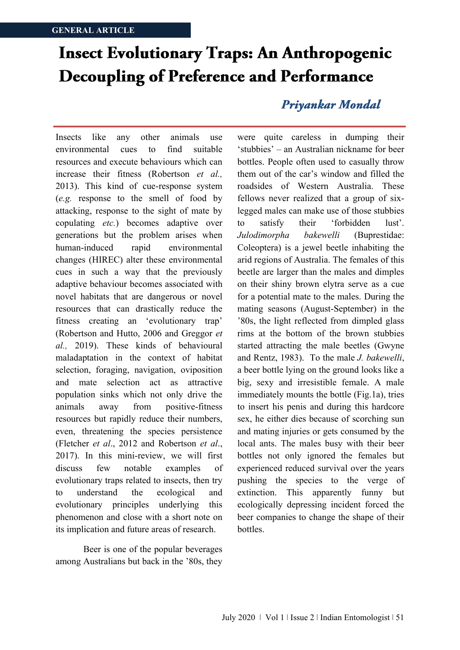## **Insect Evolutionary Traps: An Anthropogenic Decoupling of Preference and Performance**

Insects like any other animals use environmental cues to find suitable resources and execute behaviours which can increase their fitness (Robertson *et al.,* 2013). This kind of cue-response system (*e.g.* response to the smell of food by attacking, response to the sight of mate by copulating *etc.*) becomes adaptive over generations but the problem arises when human-induced rapid environmental changes (HIREC) alter these environmental cues in such a way that the previously adaptive behaviour becomes associated with novel habitats that are dangerous or novel resources that can drastically reduce the fitness creating an 'evolutionary trap' (Robertson and Hutto, 2006 and Greggor *et al.,* 2019). These kinds of behavioural maladaptation in the context of habitat selection, foraging, navigation, oviposition and mate selection act as attractive population sinks which not only drive the animals away from positive-fitness resources but rapidly reduce their numbers, even, threatening the species persistence (Fletcher *et al*., 2012 and Robertson *et al*., 2017). In this mini-review, we will first discuss few notable examples of evolutionary traps related to insects, then try to understand the ecological and evolutionary principles underlying this phenomenon and close with a short note on its implication and future areas of research.

Beer is one of the popular beverages among Australians but back in the '80s, they

## Priyankar Mondal

were quite careless in dumping their 'stubbies' – an Australian nickname for beer bottles. People often used to casually throw them out of the car's window and filled the roadsides of Western Australia. These fellows never realized that a group of sixlegged males can make use of those stubbies to satisfy their 'forbidden lust'. *Julodimorpha bakewelli* (Buprestidae: Coleoptera) is a jewel beetle inhabiting the arid regions of Australia. The females of this beetle are larger than the males and dimples on their shiny brown elytra serve as a cue for a potential mate to the males. During the mating seasons (August-September) in the '80s, the light reflected from dimpled glass rims at the bottom of the brown stubbies started attracting the male beetles (Gwyne and Rentz, 1983). To the male *J. bakewelli*, a beer bottle lying on the ground looks like a big, sexy and irresistible female. A male immediately mounts the bottle (Fig.1a), tries to insert his penis and during this hardcore sex, he either dies because of scorching sun and mating injuries or gets consumed by the local ants. The males busy with their beer bottles not only ignored the females but experienced reduced survival over the years pushing the species to the verge of extinction. This apparently funny but ecologically depressing incident forced the beer companies to change the shape of their bottles.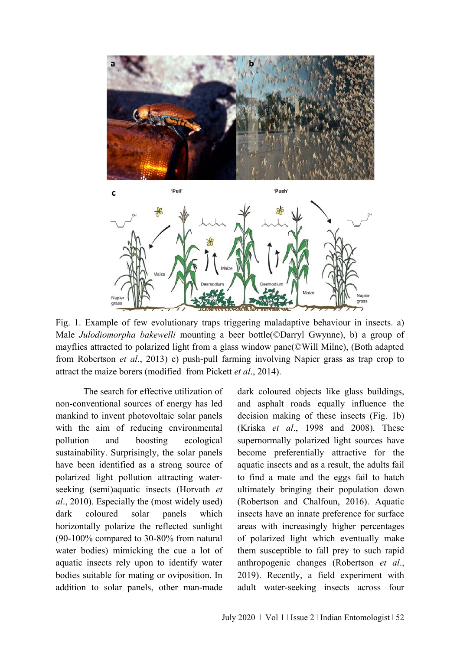



Fig. 1. Example of few evolutionary traps triggering maladaptive behaviour in insects. a) Male *Julodiomorpha bakewelli* mounting a beer bottle(©Darryl Gwynne), b) a group of mayflies attracted to polarized light from a glass window pane(©Will Milne), (Both adapted from Robertson *et al*., 2013) c) push-pull farming involving Napier grass as trap crop to attract the maize borers (modified from Pickett *et al*., 2014).

The search for effective utilization of non-conventional sources of energy has led mankind to invent photovoltaic solar panels with the aim of reducing environmental pollution and boosting ecological sustainability. Surprisingly, the solar panels have been identified as a strong source of polarized light pollution attracting waterseeking (semi)aquatic insects (Horvath *et al*., 2010). Especially the (most widely used) dark coloured solar panels which horizontally polarize the reflected sunlight (90-100% compared to 30-80% from natural water bodies) mimicking the cue a lot of aquatic insects rely upon to identify water bodies suitable for mating or oviposition. In addition to solar panels, other man-made

dark coloured objects like glass buildings, and asphalt roads equally influence the decision making of these insects (Fig. 1b) (Kriska *et al*., 1998 and 2008). These supernormally polarized light sources have become preferentially attractive for the aquatic insects and as a result, the adults fail to find a mate and the eggs fail to hatch ultimately bringing their population down (Robertson and Chalfoun, 2016). Aquatic insects have an innate preference for surface areas with increasingly higher percentages of polarized light which eventually make them susceptible to fall prey to such rapid anthropogenic changes (Robertson *et al*., 2019). Recently, a field experiment with adult water-seeking insects across four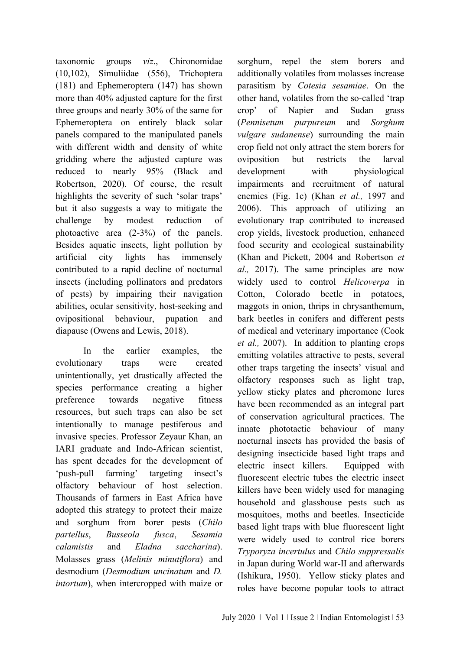taxonomic groups *viz*., Chironomidae (10,102), Simuliidae (556), Trichoptera (181) and Ephemeroptera (147) has shown more than 40% adjusted capture for the first three groups and nearly 30% of the same for Ephemeroptera on entirely black solar panels compared to the manipulated panels with different width and density of white gridding where the adjusted capture was reduced to nearly 95% (Black and Robertson, 2020). Of course, the result highlights the severity of such 'solar traps' but it also suggests a way to mitigate the challenge by modest reduction of photoactive area (2-3%) of the panels. Besides aquatic insects, light pollution by artificial city lights has immensely contributed to a rapid decline of nocturnal insects (including pollinators and predators of pests) by impairing their navigation abilities, ocular sensitivity, host-seeking and ovipositional behaviour, pupation and diapause (Owens and Lewis, 2018).

In the earlier examples, the evolutionary traps were created unintentionally, yet drastically affected the species performance creating a higher preference towards negative fitness resources, but such traps can also be set intentionally to manage pestiferous and invasive species. Professor Zeyaur Khan, an IARI graduate and Indo-African scientist, has spent decades for the development of 'push-pull farming' targeting insect's olfactory behaviour of host selection. Thousands of farmers in East Africa have adopted this strategy to protect their maize and sorghum from borer pests (*Chilo partellus*, *Busseola fusca*, *Sesamia calamistis* and *Eladna saccharina*). Molasses grass (*Melinis minutiflora*) and desmodium (*Desmodium uncinatum* and *D. intortum*), when intercropped with maize or

sorghum, repel the stem borers and additionally volatiles from molasses increase parasitism by *Cotesia sesamiae*. On the other hand, volatiles from the so-called 'trap crop' of Napier and Sudan grass (*Pennisetum purpureum* and *Sorghum vulgare sudanense*) surrounding the main crop field not only attract the stem borers for oviposition but restricts the larval development with physiological impairments and recruitment of natural enemies (Fig. 1c) (Khan *et al.,* 1997 and 2006). This approach of utilizing an evolutionary trap contributed to increased crop yields, livestock production, enhanced food security and ecological sustainability (Khan and Pickett, 2004 and Robertson *et al.,* 2017). The same principles are now widely used to control *Helicoverpa* in Cotton, Colorado beetle in potatoes, maggots in onion, thrips in chrysanthemum, bark beetles in conifers and different pests of medical and veterinary importance (Cook *et al.,* 2007). In addition to planting crops emitting volatiles attractive to pests, several other traps targeting the insects' visual and olfactory responses such as light trap, yellow sticky plates and pheromone lures have been recommended as an integral part of conservation agricultural practices. The innate phototactic behaviour of many nocturnal insects has provided the basis of designing insecticide based light traps and electric insect killers. Equipped with fluorescent electric tubes the electric insect killers have been widely used for managing household and glasshouse pests such as mosquitoes, moths and beetles. Insecticide based light traps with blue fluorescent light were widely used to control rice borers *Tryporyza incertulus* and *Chilo suppressalis* in Japan during World war-II and afterwards (Ishikura, 1950). Yellow sticky plates and roles have become popular tools to attract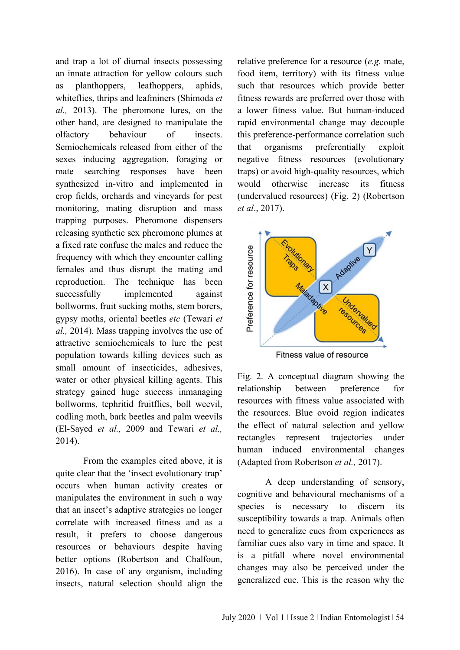and trap a lot of diurnal insects possessing an innate attraction for yellow colours such as planthoppers, leafhoppers, aphids, whiteflies, thrips and leafminers (Shimoda *et al.,* 2013). The pheromone lures, on the other hand, are designed to manipulate the olfactory behaviour of insects. Semiochemicals released from either of the sexes inducing aggregation, foraging or mate searching responses have been synthesized in-vitro and implemented in crop fields, orchards and vineyards for pest monitoring, mating disruption and mass trapping purposes. Pheromone dispensers releasing synthetic sex pheromone plumes at a fixed rate confuse the males and reduce the frequency with which they encounter calling females and thus disrupt the mating and reproduction. The technique has been successfully implemented against bollworms, fruit sucking moths, stem borers, gypsy moths, oriental beetles *etc* (Tewari *et al.,* 2014). Mass trapping involves the use of attractive semiochemicals to lure the pest population towards killing devices such as small amount of insecticides, adhesives, water or other physical killing agents. This strategy gained huge success inmanaging bollworms, tephritid fruitflies, boll weevil, codling moth, bark beetles and palm weevils (El-Sayed *et al.,* 2009 and Tewari *et al.,* 2014).

From the examples cited above, it is quite clear that the 'insect evolutionary trap' occurs when human activity creates or manipulates the environment in such a way that an insect's adaptive strategies no longer correlate with increased fitness and as a result, it prefers to choose dangerous resources or behaviours despite having better options (Robertson and Chalfoun, 2016). In case of any organism, including insects, natural selection should align the

relative preference for a resource (*e.g.* mate, food item, territory) with its fitness value such that resources which provide better fitness rewards are preferred over those with a lower fitness value. But human-induced rapid environmental change may decouple this preference-performance correlation such that organisms preferentially exploit negative fitness resources (evolutionary traps) or avoid high-quality resources, which would otherwise increase its fitness (undervalued resources) (Fig. 2) (Robertson *et al*., 2017).



Fitness value of resource

Fig. 2. A conceptual diagram showing the relationship between preference for resources with fitness value associated with the resources. Blue ovoid region indicates the effect of natural selection and yellow rectangles represent trajectories under human induced environmental changes (Adapted from Robertson *et al.,* 2017).

A deep understanding of sensory, cognitive and behavioural mechanisms of a species is necessary to discern its susceptibility towards a trap. Animals often need to generalize cues from experiences as familiar cues also vary in time and space. It is a pitfall where novel environmental changes may also be perceived under the generalized cue. This is the reason why the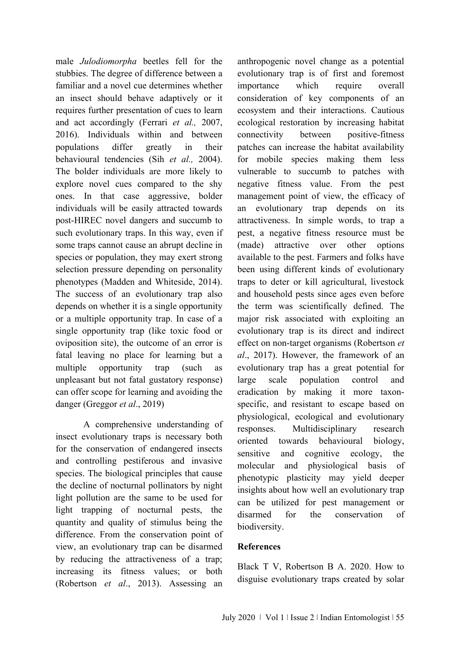male *Julodiomorpha* beetles fell for the stubbies. The degree of difference between a familiar and a novel cue determines whether an insect should behave adaptively or it requires further presentation of cues to learn and act accordingly (Ferrari *et al.,* 2007, 2016). Individuals within and between populations differ greatly in their behavioural tendencies (Sih *et al.,* 2004). The bolder individuals are more likely to explore novel cues compared to the shy ones. In that case aggressive, bolder individuals will be easily attracted towards post-HIREC novel dangers and succumb to such evolutionary traps. In this way, even if some traps cannot cause an abrupt decline in species or population, they may exert strong selection pressure depending on personality phenotypes (Madden and Whiteside, 2014). The success of an evolutionary trap also depends on whether it is a single opportunity or a multiple opportunity trap. In case of a single opportunity trap (like toxic food or oviposition site), the outcome of an error is fatal leaving no place for learning but a multiple opportunity trap (such as unpleasant but not fatal gustatory response) can offer scope for learning and avoiding the danger (Greggor *et al*., 2019)

A comprehensive understanding of insect evolutionary traps is necessary both for the conservation of endangered insects and controlling pestiferous and invasive species. The biological principles that cause the decline of nocturnal pollinators by night light pollution are the same to be used for light trapping of nocturnal pests, the quantity and quality of stimulus being the difference. From the conservation point of view, an evolutionary trap can be disarmed by reducing the attractiveness of a trap; increasing its fitness values; or both (Robertson *et al*., 2013). Assessing an anthropogenic novel change as a potential evolutionary trap is of first and foremost importance which require overall consideration of key components of an ecosystem and their interactions. Cautious ecological restoration by increasing habitat connectivity between positive-fitness patches can increase the habitat availability for mobile species making them less vulnerable to succumb to patches with negative fitness value. From the pest management point of view, the efficacy of an evolutionary trap depends on its attractiveness. In simple words, to trap a pest, a negative fitness resource must be (made) attractive over other options available to the pest. Farmers and folks have been using different kinds of evolutionary traps to deter or kill agricultural, livestock and household pests since ages even before the term was scientifically defined. The major risk associated with exploiting an evolutionary trap is its direct and indirect effect on non-target organisms (Robertson *et al*., 2017). However, the framework of an evolutionary trap has a great potential for large scale population control and eradication by making it more taxonspecific, and resistant to escape based on physiological, ecological and evolutionary responses. Multidisciplinary research oriented towards behavioural biology, sensitive and cognitive ecology, the molecular and physiological basis of phenotypic plasticity may yield deeper insights about how well an evolutionary trap can be utilized for pest management or disarmed for the conservation of biodiversity.

## **References**

Black T V, Robertson B A. 2020. How to disguise evolutionary traps created by solar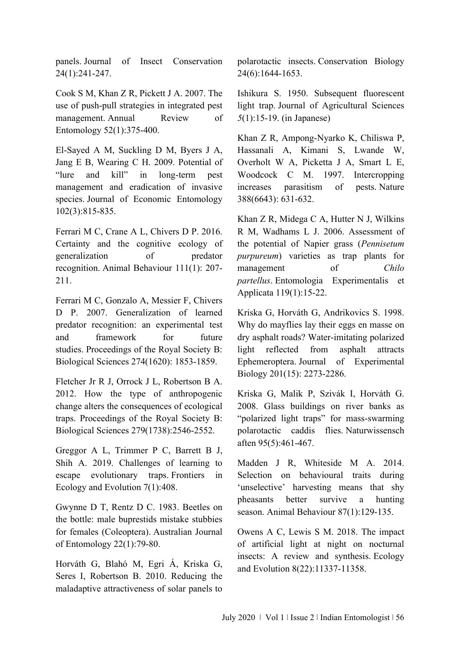panels. Journal of Insect Conservation 24(1):241-247.

Cook S M, Khan Z R, Pickett J A. 2007. The use of push-pull strategies in integrated pest management. Annual Review of Entomology 52(1):375-400.

El-Sayed A M, Suckling D M, Byers J A, Jang E B, Wearing C H. 2009. Potential of "lure and kill" in long-term pest management and eradication of invasive species. Journal of Economic Entomology 102(3):815-835.

Ferrari M C, Crane A L, Chivers D P. 2016. Certainty and the cognitive ecology of generalization of predator recognition. Animal Behaviour 111(1): 207- 211.

Ferrari M C, Gonzalo A, Messier F, Chivers D P. 2007. Generalization of learned predator recognition: an experimental test and framework for future studies. Proceedings of the Royal Society B: Biological Sciences 274(1620): 1853-1859.

Fletcher Jr R J, Orrock J L, Robertson B A. 2012. How the type of anthropogenic change alters the consequences of ecological traps. Proceedings of the Royal Society B: Biological Sciences 279(1738):2546-2552.

Greggor A L, Trimmer P C, Barrett B J, Shih A. 2019. Challenges of learning to escape evolutionary traps. Frontiers in Ecology and Evolution 7(1):408.

Gwynne D T, Rentz D C. 1983. Beetles on the bottle: male buprestids mistake stubbies for females (Coleoptera). Australian Journal of Entomology 22(1):79-80.

Horváth G, Blahó M, Egri Á, Kriska G, Seres I, Robertson B. 2010. Reducing the maladaptive attractiveness of solar panels to

polarotactic insects. Conservation Biology 24(6):1644-1653.

Ishikura S. 1950. Subsequent fluorescent light trap. Journal of Agricultural Sciences *5*(1):15-19. (in Japanese)

Khan Z R, Ampong-Nyarko K, Chiliswa P, Hassanali A, Kimani S, Lwande W, Overholt W A, Picketta J A, Smart L E, Woodcock C M. 1997. Intercropping increases parasitism of pests. Nature 388(6643): 631-632.

Khan Z R, Midega C A, Hutter N J, Wilkins R M, Wadhams L J. 2006. Assessment of the potential of Napier grass (*Pennisetum purpureum*) varieties as trap plants for management of *Chilo partellus*. Entomologia Experimentalis et Applicata 119(1):15-22.

Kriska G, Horváth G, Andrikovics S. 1998. Why do mayflies lay their eggs en masse on dry asphalt roads? Water-imitating polarized light reflected from asphalt attracts Ephemeroptera. Journal of Experimental Biology 201(15): 2273-2286.

Kriska G, Malik P, Szivák I, Horváth G. 2008. Glass buildings on river banks as "polarized light traps" for mass-swarming polarotactic caddis flies. Naturwissensch aften 95(5):461-467.

Madden J R, Whiteside M A. 2014. Selection on behavioural traits during 'unselective' harvesting means that shy pheasants better survive a hunting season. Animal Behaviour 87(1):129-135.

Owens A C, Lewis S M. 2018. The impact of artificial light at night on nocturnal insects: A review and synthesis. Ecology and Evolution 8(22):11337-11358.